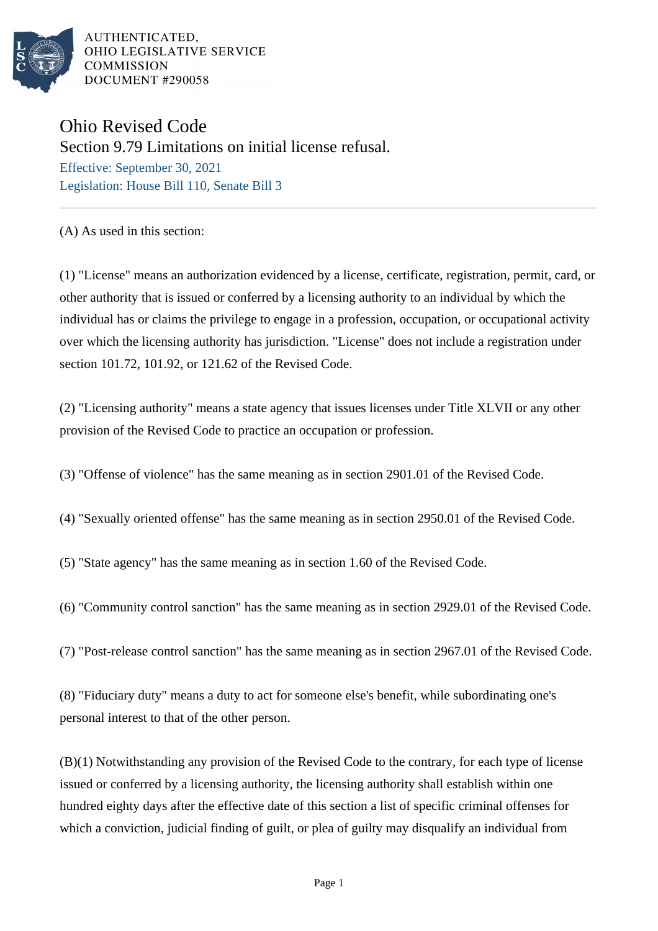

## Ohio Revised Code Section 9.79 Limitations on initial license refusal. Effective: September 30, 2021 Legislation: House Bill 110, Senate Bill 3

(A) As used in this section:

(1) "License" means an authorization evidenced by a license, certificate, registration, permit, card, or other authority that is issued or conferred by a licensing authority to an individual by which the individual has or claims the privilege to engage in a profession, occupation, or occupational activity over which the licensing authority has jurisdiction. "License" does not include a registration under section 101.72, 101.92, or 121.62 of the Revised Code.

(2) "Licensing authority" means a state agency that issues licenses under Title XLVII or any other provision of the Revised Code to practice an occupation or profession.

(3) "Offense of violence" has the same meaning as in section 2901.01 of the Revised Code.

(4) "Sexually oriented offense" has the same meaning as in section 2950.01 of the Revised Code.

(5) "State agency" has the same meaning as in section 1.60 of the Revised Code.

(6) "Community control sanction" has the same meaning as in section 2929.01 of the Revised Code.

(7) "Post-release control sanction" has the same meaning as in section 2967.01 of the Revised Code.

(8) "Fiduciary duty" means a duty to act for someone else's benefit, while subordinating one's personal interest to that of the other person.

(B)(1) Notwithstanding any provision of the Revised Code to the contrary, for each type of license issued or conferred by a licensing authority, the licensing authority shall establish within one hundred eighty days after the effective date of this section a list of specific criminal offenses for which a conviction, judicial finding of guilt, or plea of guilty may disqualify an individual from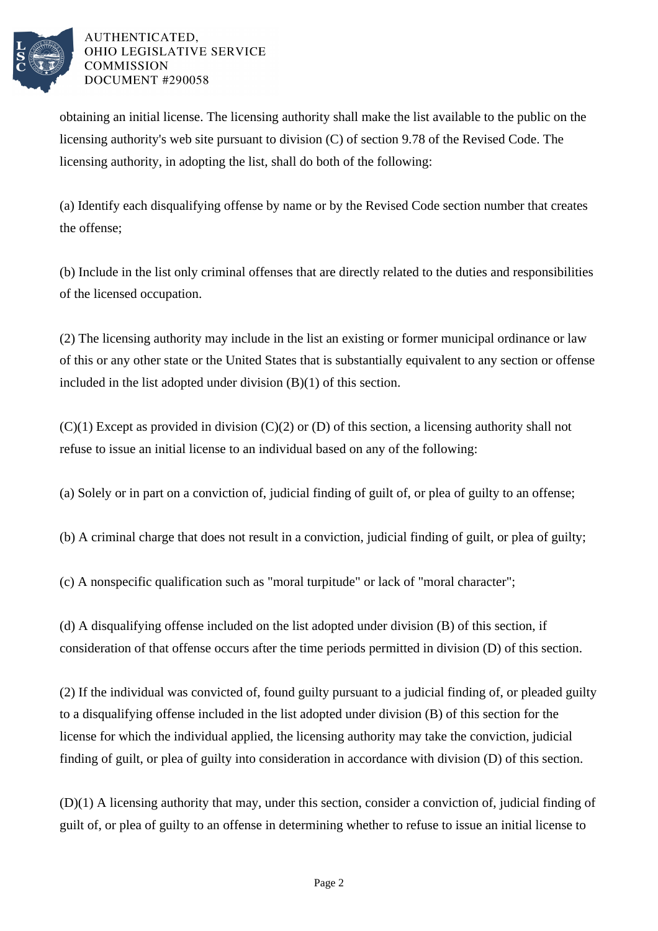

obtaining an initial license. The licensing authority shall make the list available to the public on the licensing authority's web site pursuant to division (C) of section 9.78 of the Revised Code. The licensing authority, in adopting the list, shall do both of the following:

(a) Identify each disqualifying offense by name or by the Revised Code section number that creates the offense;

(b) Include in the list only criminal offenses that are directly related to the duties and responsibilities of the licensed occupation.

(2) The licensing authority may include in the list an existing or former municipal ordinance or law of this or any other state or the United States that is substantially equivalent to any section or offense included in the list adopted under division (B)(1) of this section.

 $(C)(1)$  Except as provided in division  $(C)(2)$  or  $(D)$  of this section, a licensing authority shall not refuse to issue an initial license to an individual based on any of the following:

(a) Solely or in part on a conviction of, judicial finding of guilt of, or plea of guilty to an offense;

(b) A criminal charge that does not result in a conviction, judicial finding of guilt, or plea of guilty;

(c) A nonspecific qualification such as "moral turpitude" or lack of "moral character";

(d) A disqualifying offense included on the list adopted under division (B) of this section, if consideration of that offense occurs after the time periods permitted in division (D) of this section.

(2) If the individual was convicted of, found guilty pursuant to a judicial finding of, or pleaded guilty to a disqualifying offense included in the list adopted under division (B) of this section for the license for which the individual applied, the licensing authority may take the conviction, judicial finding of guilt, or plea of guilty into consideration in accordance with division (D) of this section.

(D)(1) A licensing authority that may, under this section, consider a conviction of, judicial finding of guilt of, or plea of guilty to an offense in determining whether to refuse to issue an initial license to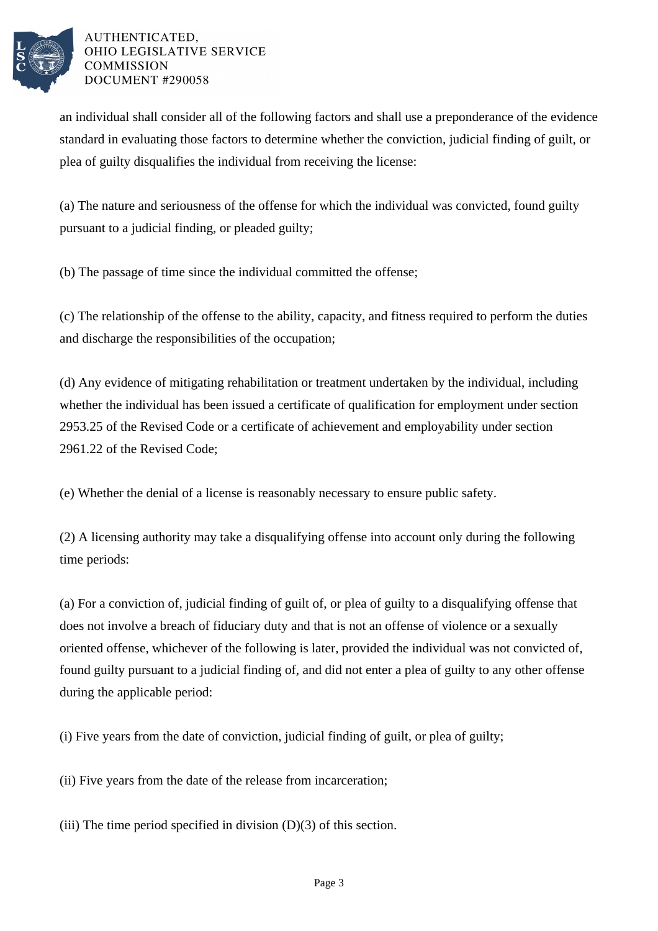

an individual shall consider all of the following factors and shall use a preponderance of the evidence standard in evaluating those factors to determine whether the conviction, judicial finding of guilt, or plea of guilty disqualifies the individual from receiving the license:

(a) The nature and seriousness of the offense for which the individual was convicted, found guilty pursuant to a judicial finding, or pleaded guilty;

(b) The passage of time since the individual committed the offense;

(c) The relationship of the offense to the ability, capacity, and fitness required to perform the duties and discharge the responsibilities of the occupation;

(d) Any evidence of mitigating rehabilitation or treatment undertaken by the individual, including whether the individual has been issued a certificate of qualification for employment under section 2953.25 of the Revised Code or a certificate of achievement and employability under section 2961.22 of the Revised Code;

(e) Whether the denial of a license is reasonably necessary to ensure public safety.

(2) A licensing authority may take a disqualifying offense into account only during the following time periods:

(a) For a conviction of, judicial finding of guilt of, or plea of guilty to a disqualifying offense that does not involve a breach of fiduciary duty and that is not an offense of violence or a sexually oriented offense, whichever of the following is later, provided the individual was not convicted of, found guilty pursuant to a judicial finding of, and did not enter a plea of guilty to any other offense during the applicable period:

(i) Five years from the date of conviction, judicial finding of guilt, or plea of guilty;

(ii) Five years from the date of the release from incarceration;

(iii) The time period specified in division  $(D)(3)$  of this section.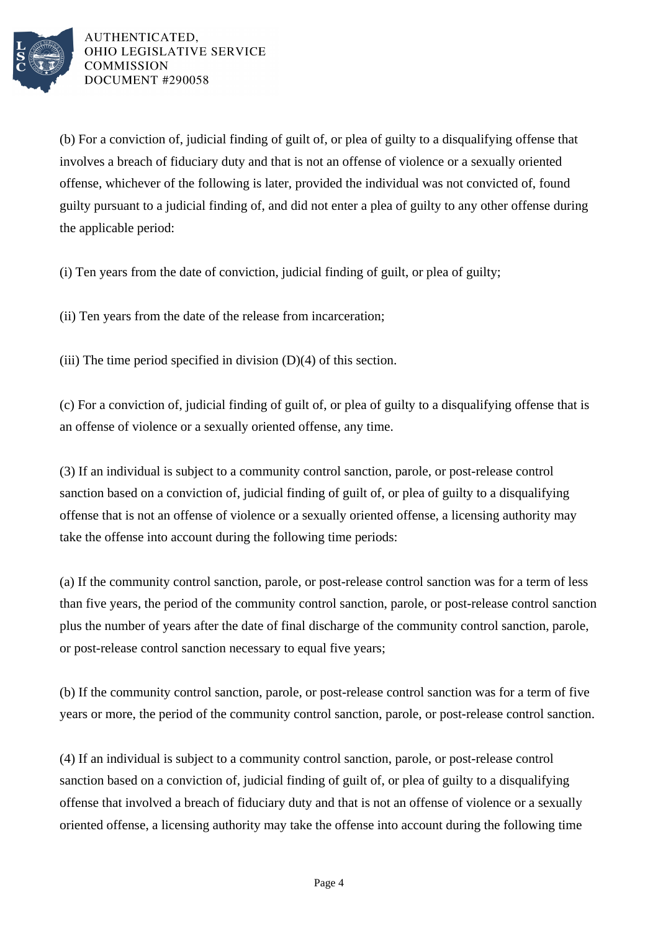

(b) For a conviction of, judicial finding of guilt of, or plea of guilty to a disqualifying offense that involves a breach of fiduciary duty and that is not an offense of violence or a sexually oriented offense, whichever of the following is later, provided the individual was not convicted of, found guilty pursuant to a judicial finding of, and did not enter a plea of guilty to any other offense during the applicable period:

(i) Ten years from the date of conviction, judicial finding of guilt, or plea of guilty;

(ii) Ten years from the date of the release from incarceration;

(iii) The time period specified in division (D)(4) of this section.

(c) For a conviction of, judicial finding of guilt of, or plea of guilty to a disqualifying offense that is an offense of violence or a sexually oriented offense, any time.

(3) If an individual is subject to a community control sanction, parole, or post-release control sanction based on a conviction of, judicial finding of guilt of, or plea of guilty to a disqualifying offense that is not an offense of violence or a sexually oriented offense, a licensing authority may take the offense into account during the following time periods:

(a) If the community control sanction, parole, or post-release control sanction was for a term of less than five years, the period of the community control sanction, parole, or post-release control sanction plus the number of years after the date of final discharge of the community control sanction, parole, or post-release control sanction necessary to equal five years;

(b) If the community control sanction, parole, or post-release control sanction was for a term of five years or more, the period of the community control sanction, parole, or post-release control sanction.

(4) If an individual is subject to a community control sanction, parole, or post-release control sanction based on a conviction of, judicial finding of guilt of, or plea of guilty to a disqualifying offense that involved a breach of fiduciary duty and that is not an offense of violence or a sexually oriented offense, a licensing authority may take the offense into account during the following time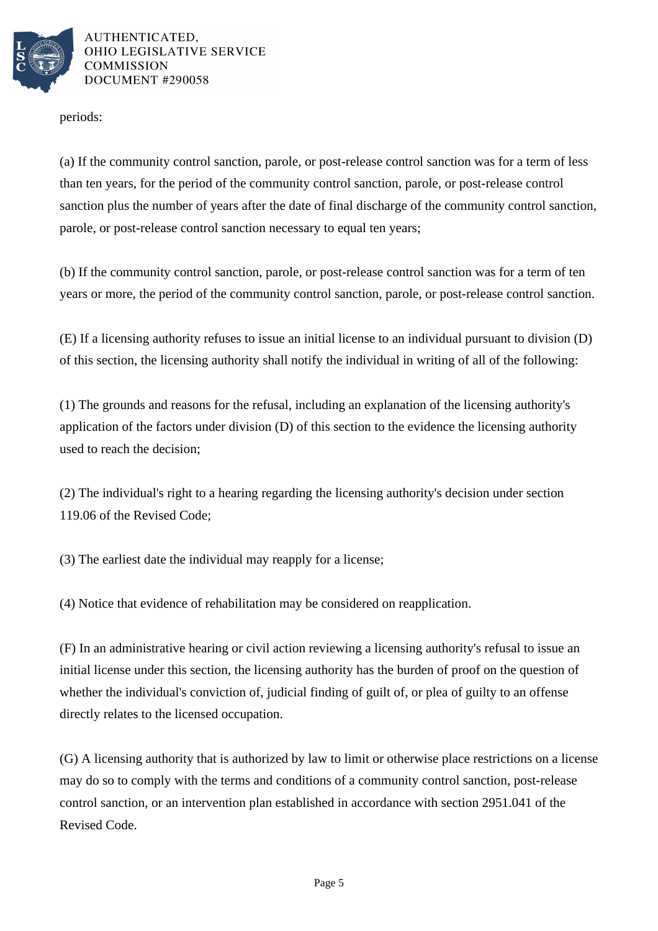

periods:

(a) If the community control sanction, parole, or post-release control sanction was for a term of less than ten years, for the period of the community control sanction, parole, or post-release control sanction plus the number of years after the date of final discharge of the community control sanction, parole, or post-release control sanction necessary to equal ten years;

(b) If the community control sanction, parole, or post-release control sanction was for a term of ten years or more, the period of the community control sanction, parole, or post-release control sanction.

(E) If a licensing authority refuses to issue an initial license to an individual pursuant to division (D) of this section, the licensing authority shall notify the individual in writing of all of the following:

(1) The grounds and reasons for the refusal, including an explanation of the licensing authority's application of the factors under division (D) of this section to the evidence the licensing authority used to reach the decision;

(2) The individual's right to a hearing regarding the licensing authority's decision under section 119.06 of the Revised Code;

(3) The earliest date the individual may reapply for a license;

(4) Notice that evidence of rehabilitation may be considered on reapplication.

(F) In an administrative hearing or civil action reviewing a licensing authority's refusal to issue an initial license under this section, the licensing authority has the burden of proof on the question of whether the individual's conviction of, judicial finding of guilt of, or plea of guilty to an offense directly relates to the licensed occupation.

(G) A licensing authority that is authorized by law to limit or otherwise place restrictions on a license may do so to comply with the terms and conditions of a community control sanction, post-release control sanction, or an intervention plan established in accordance with section 2951.041 of the Revised Code.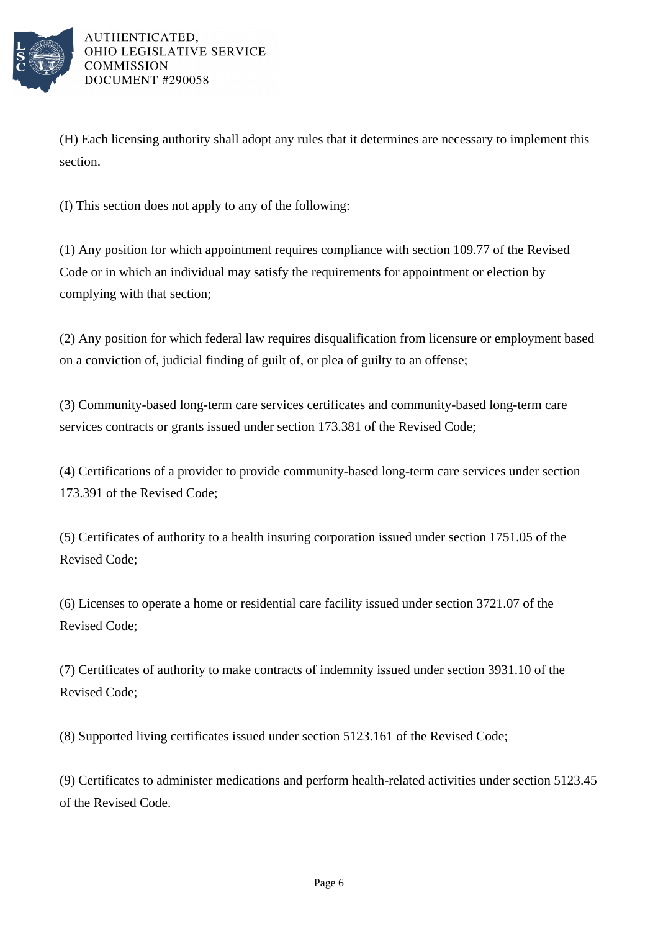

(H) Each licensing authority shall adopt any rules that it determines are necessary to implement this section.

(I) This section does not apply to any of the following:

(1) Any position for which appointment requires compliance with section 109.77 of the Revised Code or in which an individual may satisfy the requirements for appointment or election by complying with that section;

(2) Any position for which federal law requires disqualification from licensure or employment based on a conviction of, judicial finding of guilt of, or plea of guilty to an offense;

(3) Community-based long-term care services certificates and community-based long-term care services contracts or grants issued under section 173.381 of the Revised Code;

(4) Certifications of a provider to provide community-based long-term care services under section 173.391 of the Revised Code;

(5) Certificates of authority to a health insuring corporation issued under section 1751.05 of the Revised Code;

(6) Licenses to operate a home or residential care facility issued under section 3721.07 of the Revised Code;

(7) Certificates of authority to make contracts of indemnity issued under section 3931.10 of the Revised Code;

(8) Supported living certificates issued under section 5123.161 of the Revised Code;

(9) Certificates to administer medications and perform health-related activities under section 5123.45 of the Revised Code.